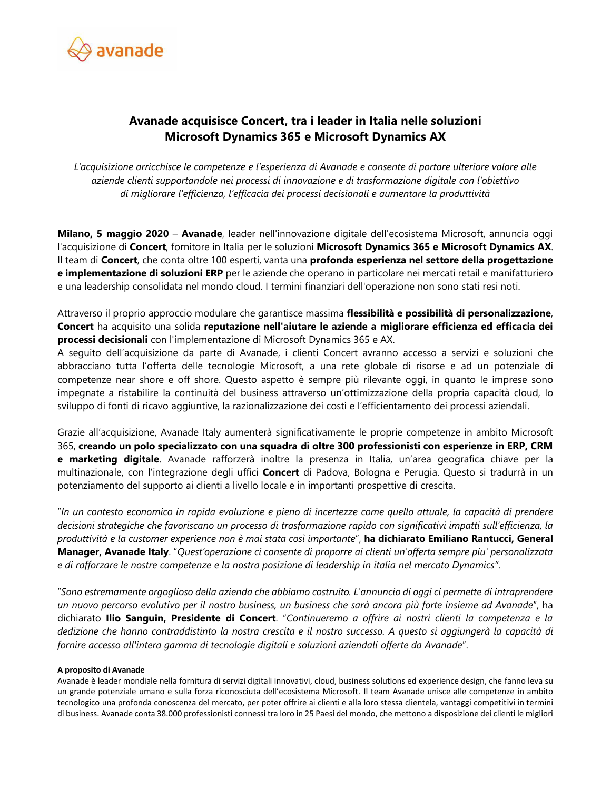

## **Avanade acquisisce Concert, tra i leader in Italia nelle soluzioni Microsoft Dynamics 365 e Microsoft Dynamics AX**

*L'acquisizione arricchisce le competenze e l'esperienza di Avanade e consente di portare ulteriore valore alle aziende clienti supportandole nei processi di innovazione e di trasformazione digitale con l'obiettivo di migliorare l'efficienza, l'efficacia dei processi decisionali e aumentare la produttività* 

**Milano, 5 maggio 2020** – **Avanade**, leader nell'innovazione digitale dell'ecosistema Microsoft, annuncia oggi l'acquisizione di **Concert**, fornitore in Italia per le soluzioni **Microsoft Dynamics 365 e Microsoft Dynamics AX**. Il team di **Concert**, che conta oltre 100 esperti, vanta una **profonda esperienza nel settore della progettazione e implementazione di soluzioni ERP** per le aziende che operano in particolare nei mercati retail e manifatturiero e una leadership consolidata nel mondo cloud. I termini finanziari dell'operazione non sono stati resi noti.

Attraverso il proprio approccio modulare che garantisce massima **flessibilità e possibilità di personalizzazione**, **Concert** ha acquisito una solida **reputazione nell'aiutare le aziende a migliorare efficienza ed efficacia dei processi decisionali** con l'implementazione di Microsoft Dynamics 365 e AX.

A seguito dell'acquisizione da parte di Avanade, i clienti Concert avranno accesso a servizi e soluzioni che abbracciano tutta l'offerta delle tecnologie Microsoft, a una rete globale di risorse e ad un potenziale di competenze near shore e off shore. Questo aspetto è sempre più rilevante oggi, in quanto le imprese sono impegnate a ristabilire la continuità del business attraverso un'ottimizzazione della propria capacità cloud, lo sviluppo di fonti di ricavo aggiuntive, la razionalizzazione dei costi e l'efficientamento dei processi aziendali.

Grazie all'acquisizione, Avanade Italy aumenterà significativamente le proprie competenze in ambito Microsoft 365, **creando un polo specializzato con una squadra di oltre 300 professionisti con esperienze in ERP, CRM e marketing digitale**. Avanade rafforzerà inoltre la presenza in Italia, un'area geografica chiave per la multinazionale, con l'integrazione degli uffici **Concert** di Padova, Bologna e Perugia. Questo si tradurrà in un potenziamento del supporto ai clienti a livello locale e in importanti prospettive di crescita.

"*In un contesto economico in rapida evoluzione e pieno di incertezze come quello attuale, la capacità di prendere decisioni strategiche che favoriscano un processo di trasformazione rapido con significativi impatti sull'efficienza, la produttività e la customer experience non è mai stata così importante*", **ha dichiarato Emiliano Rantucci, General Manager, Avanade Italy**. "*Quest'operazione ci consente di proporre ai clienti un'offerta sempre piu' personalizzata e di rafforzare le nostre competenze e la nostra posizione di leadership in italia nel mercato Dynamics"*.

"*Sono estremamente orgoglioso della azienda che abbiamo costruito. L'annuncio di oggi ci permette di intraprendere un nuovo percorso evolutivo per il nostro business, un business che sarà ancora più forte insieme ad Avanade*", ha dichiarato **Ilio Sanguin, Presidente di Concert**. "*Continueremo a offrire ai nostri clienti la competenza e la dedizione che hanno contraddistinto la nostra crescita e il nostro successo. A questo si aggiungerà la capacità di fornire accesso all'intera gamma di tecnologie digitali e soluzioni aziendali offerte da Avanade*".

## **A proposito di Avanade**

Avanade è leader mondiale nella fornitura di servizi digitali innovativi, cloud, business solutions ed experience design, che fanno leva su un grande potenziale umano e sulla forza riconosciuta dell'ecosistema Microsoft. Il team Avanade unisce alle competenze in ambito tecnologico una profonda conoscenza del mercato, per poter offrire ai clienti e alla loro stessa clientela, vantaggi competitivi in termini di business. Avanade conta 38.000 professionisti connessi tra loro in 25 Paesi del mondo, che mettono a disposizione dei clienti le migliori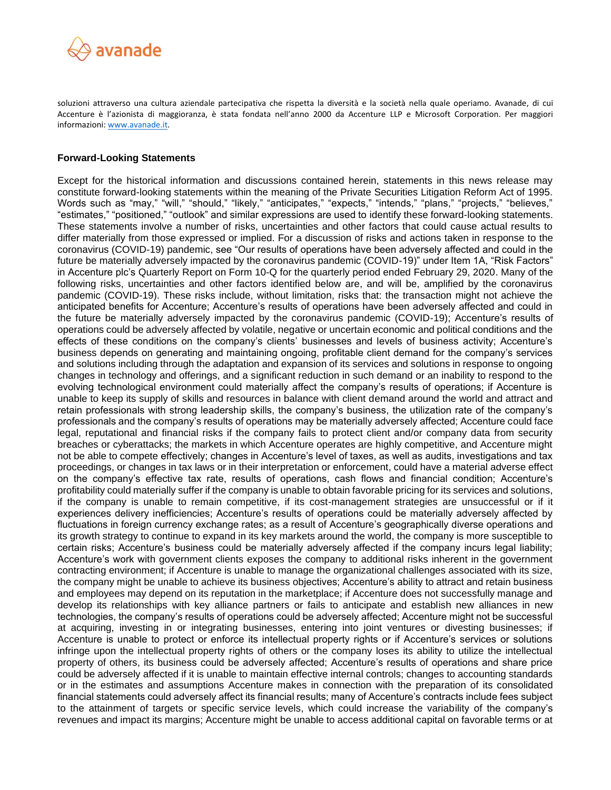

soluzioni attraverso una cultura aziendale partecipativa che rispetta la diversità e la società nella quale operiamo. Avanade, di cui Accenture è l'azionista di maggioranza, è stata fondata nell'anno 2000 da Accenture LLP e Microsoft Corporation. Per maggiori informazioni[: www.avanade.it.](http://www.avanade.it/)

## **Forward-Looking Statements**

Except for the historical information and discussions contained herein, statements in this news release may constitute forward-looking statements within the meaning of the Private Securities Litigation Reform Act of 1995. Words such as "may," "will," "should," "likely," "anticipates," "expects," "intends," "plans," "projects," "believes," "estimates," "positioned," "outlook" and similar expressions are used to identify these forward-looking statements. These statements involve a number of risks, uncertainties and other factors that could cause actual results to differ materially from those expressed or implied. For a discussion of risks and actions taken in response to the coronavirus (COVID-19) pandemic, see "Our results of operations have been adversely affected and could in the future be materially adversely impacted by the coronavirus pandemic (COVID-19)" under Item 1A, "Risk Factors" in Accenture plc's Quarterly Report on Form 10-Q for the quarterly period ended February 29, 2020. Many of the following risks, uncertainties and other factors identified below are, and will be, amplified by the coronavirus pandemic (COVID-19). These risks include, without limitation, risks that: the transaction might not achieve the anticipated benefits for Accenture; Accenture's results of operations have been adversely affected and could in the future be materially adversely impacted by the coronavirus pandemic (COVID-19); Accenture's results of operations could be adversely affected by volatile, negative or uncertain economic and political conditions and the effects of these conditions on the company's clients' businesses and levels of business activity; Accenture's business depends on generating and maintaining ongoing, profitable client demand for the company's services and solutions including through the adaptation and expansion of its services and solutions in response to ongoing changes in technology and offerings, and a significant reduction in such demand or an inability to respond to the evolving technological environment could materially affect the company's results of operations; if Accenture is unable to keep its supply of skills and resources in balance with client demand around the world and attract and retain professionals with strong leadership skills, the company's business, the utilization rate of the company's professionals and the company's results of operations may be materially adversely affected; Accenture could face legal, reputational and financial risks if the company fails to protect client and/or company data from security breaches or cyberattacks; the markets in which Accenture operates are highly competitive, and Accenture might not be able to compete effectively; changes in Accenture's level of taxes, as well as audits, investigations and tax proceedings, or changes in tax laws or in their interpretation or enforcement, could have a material adverse effect on the company's effective tax rate, results of operations, cash flows and financial condition; Accenture's profitability could materially suffer if the company is unable to obtain favorable pricing for its services and solutions, if the company is unable to remain competitive, if its cost-management strategies are unsuccessful or if it experiences delivery inefficiencies; Accenture's results of operations could be materially adversely affected by fluctuations in foreign currency exchange rates; as a result of Accenture's geographically diverse operations and its growth strategy to continue to expand in its key markets around the world, the company is more susceptible to certain risks; Accenture's business could be materially adversely affected if the company incurs legal liability; Accenture's work with government clients exposes the company to additional risks inherent in the government contracting environment; if Accenture is unable to manage the organizational challenges associated with its size, the company might be unable to achieve its business objectives; Accenture's ability to attract and retain business and employees may depend on its reputation in the marketplace; if Accenture does not successfully manage and develop its relationships with key alliance partners or fails to anticipate and establish new alliances in new technologies, the company's results of operations could be adversely affected; Accenture might not be successful at acquiring, investing in or integrating businesses, entering into joint ventures or divesting businesses; if Accenture is unable to protect or enforce its intellectual property rights or if Accenture's services or solutions infringe upon the intellectual property rights of others or the company loses its ability to utilize the intellectual property of others, its business could be adversely affected; Accenture's results of operations and share price could be adversely affected if it is unable to maintain effective internal controls; changes to accounting standards or in the estimates and assumptions Accenture makes in connection with the preparation of its consolidated financial statements could adversely affect its financial results; many of Accenture's contracts include fees subject to the attainment of targets or specific service levels, which could increase the variability of the company's revenues and impact its margins; Accenture might be unable to access additional capital on favorable terms or at